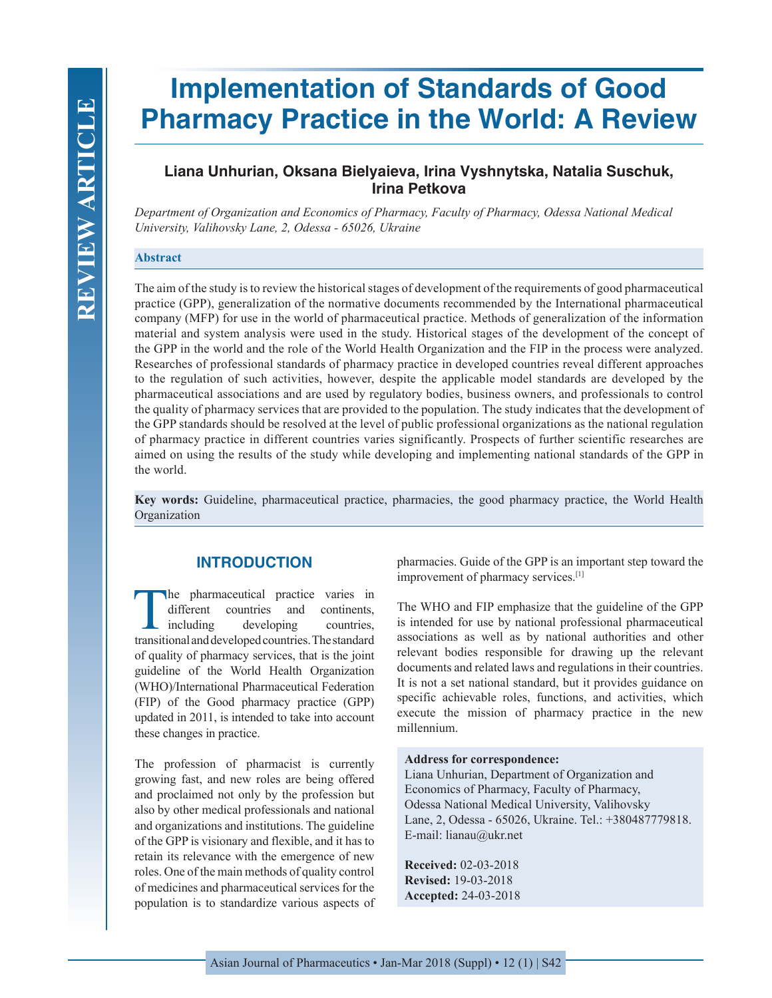# **Implementation of Standards of Good Pharmacy Practice in the World: A Review**

## **Liana Unhurian, Oksana Bielyaieva, Irina Vyshnytska, Natalia Suschuk, Irina Petkova**

*Department of Organization and Economics of Pharmacy, Faculty of Pharmacy, Odessa National Medical University, Valihovsky Lane, 2, Odessa - 65026, Ukraine*

#### **Abstract**

The aim of the study is to review the historical stages of development of the requirements of good pharmaceutical practice (GPP), generalization of the normative documents recommended by the International pharmaceutical company (MFP) for use in the world of pharmaceutical practice. Methods of generalization of the information material and system analysis were used in the study. Historical stages of the development of the concept of the GPP in the world and the role of the World Health Organization and the FIP in the process were analyzed. Researches of professional standards of pharmacy practice in developed countries reveal different approaches to the regulation of such activities, however, despite the applicable model standards are developed by the pharmaceutical associations and are used by regulatory bodies, business owners, and professionals to control the quality of pharmacy services that are provided to the population. The study indicates that the development of the GPP standards should be resolved at the level of public professional organizations as the national regulation of pharmacy practice in different countries varies significantly. Prospects of further scientific researches are aimed on using the results of the study while developing and implementing national standards of the GPP in the world.

**Key words:** Guideline, pharmaceutical practice, pharmacies, the good pharmacy practice, the World Health Organization

## **INTRODUCTION**

The pharmaceutical practice varies in different countries and continents, including developing countries. countries and developing transitional and developed countries. The standard of quality of pharmacy services, that is the joint guideline of the World Health Organization (WHO)/International Pharmaceutical Federation (FIP) of the Good pharmacy practice (GPP) updated in 2011, is intended to take into account these changes in practice.

The profession of pharmacist is currently growing fast, and new roles are being offered and proclaimed not only by the profession but also by other medical professionals and national and organizations and institutions. The guideline of the GPP is visionary and flexible, and it has to retain its relevance with the emergence of new roles. One of the main methods of quality control of medicines and pharmaceutical services for the population is to standardize various aspects of pharmacies. Guide of the GPP is an important step toward the improvement of pharmacy services.[1]

The WHO and FIP emphasize that the guideline of the GPP is intended for use by national professional pharmaceutical associations as well as by national authorities and other relevant bodies responsible for drawing up the relevant documents and related laws and regulations in their countries. It is not a set national standard, but it provides guidance on specific achievable roles, functions, and activities, which execute the mission of pharmacy practice in the new millennium.

#### **Address for correspondence:**

Liana Unhurian, Department of Organization and Economics of Pharmacy, Faculty of Pharmacy, Odessa National Medical University, Valihovsky Lane, 2, Odessa - 65026, Ukraine. Tel.: +380487779818. E-mail: lianau@ukr.net

**Received:** 02-03-2018 **Revised:** 19-03-2018 **Accepted:** 24-03-2018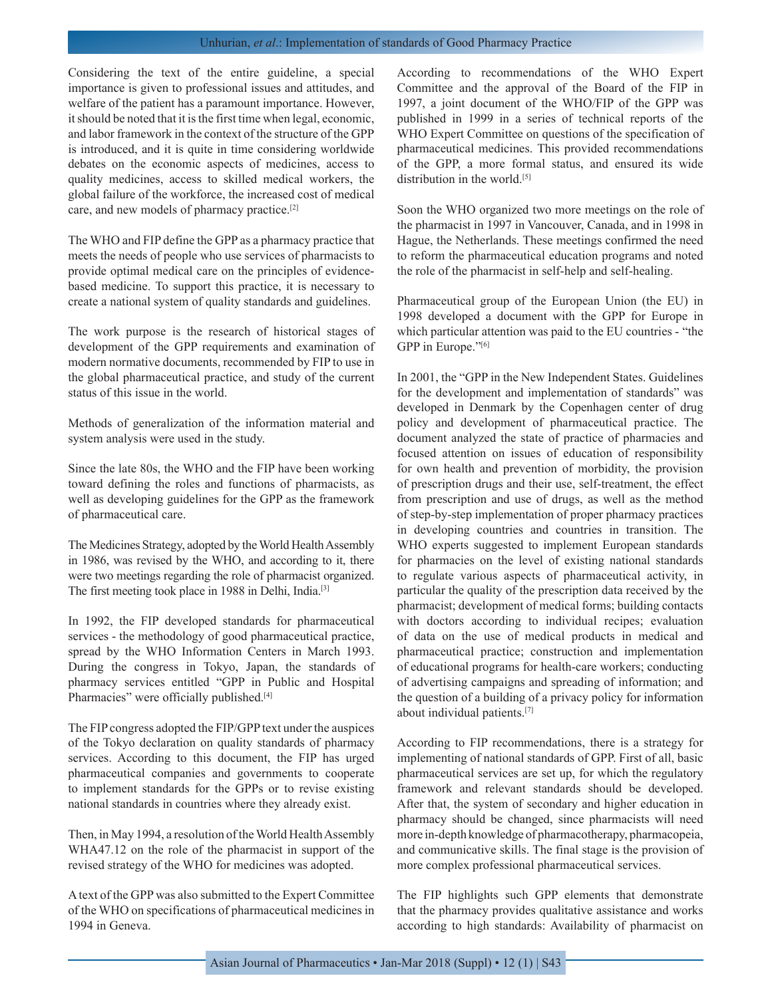#### Unhurian, *et al*.: Implementation of standards of Good Pharmacy Practice

Considering the text of the entire guideline, a special importance is given to professional issues and attitudes, and welfare of the patient has a paramount importance. However, it should be noted that it is the first time when legal, economic, and labor framework in the context of the structure of the GPP is introduced, and it is quite in time considering worldwide debates on the economic aspects of medicines, access to quality medicines, access to skilled medical workers, the global failure of the workforce, the increased cost of medical care, and new models of pharmacy practice.[2]

The WHO and FIP define the GPP as a pharmacy practice that meets the needs of people who use services of pharmacists to provide optimal medical care on the principles of evidencebased medicine. To support this practice, it is necessary to create a national system of quality standards and guidelines.

The work purpose is the research of historical stages of development of the GPP requirements and examination of modern normative documents, recommended by FIP to use in the global pharmaceutical practice, and study of the current status of this issue in the world.

Methods of generalization of the information material and system analysis were used in the study.

Since the late 80s, the WHO and the FIP have been working toward defining the roles and functions of pharmacists, as well as developing guidelines for the GPP as the framework of pharmaceutical care.

The Medicines Strategy, adopted by the World Health Assembly in 1986, was revised by the WHO, and according to it, there were two meetings regarding the role of pharmacist organized. The first meeting took place in 1988 in Delhi, India.[3]

In 1992, the FIP developed standards for pharmaceutical services - the methodology of good pharmaceutical practice, spread by the WHO Information Centers in March 1993. During the congress in Tokyo, Japan, the standards of pharmacy services entitled "GPP in Public and Hospital Pharmacies" were officially published.<sup>[4]</sup>

The FIP congress adopted the FIP/GPP text under the auspices of the Tokyo declaration on quality standards of pharmacy services. According to this document, the FIP has urged pharmaceutical companies and governments to cooperate to implement standards for the GPPs or to revise existing national standards in countries where they already exist.

Then, in May 1994, a resolution of the World Health Assembly WHA47.12 on the role of the pharmacist in support of the revised strategy of the WHO for medicines was adopted.

A text of the GPP was also submitted to the Expert Committee of the WHO on specifications of pharmaceutical medicines in 1994 in Geneva.

According to recommendations of the WHO Expert Committee and the approval of the Board of the FIP in 1997, a joint document of the WHO/FIP of the GPP was published in 1999 in a series of technical reports of the WHO Expert Committee on questions of the specification of pharmaceutical medicines. This provided recommendations of the GPP, a more formal status, and ensured its wide distribution in the world.<sup>[5]</sup>

Soon the WHO organized two more meetings on the role of the pharmacist in 1997 in Vancouver, Canada, and in 1998 in Hague, the Netherlands. These meetings confirmed the need to reform the pharmaceutical education programs and noted the role of the pharmacist in self-help and self-healing.

Pharmaceutical group of the European Union (the EU) in 1998 developed a document with the GPP for Europe in which particular attention was paid to the EU countries - "the GPP in Europe."[6]

In 2001, the "GPP in the New Independent States. Guidelines for the development and implementation of standards" was developed in Denmark by the Copenhagen center of drug policy and development of pharmaceutical practice. The document analyzed the state of practice of pharmacies and focused attention on issues of education of responsibility for own health and prevention of morbidity, the provision of prescription drugs and their use, self-treatment, the effect from prescription and use of drugs, as well as the method of step-by-step implementation of proper pharmacy practices in developing countries and countries in transition. The WHO experts suggested to implement European standards for pharmacies on the level of existing national standards to regulate various aspects of pharmaceutical activity, in particular the quality of the prescription data received by the pharmacist; development of medical forms; building contacts with doctors according to individual recipes; evaluation of data on the use of medical products in medical and pharmaceutical practice; construction and implementation of educational programs for health-care workers; conducting of advertising campaigns and spreading of information; and the question of a building of a privacy policy for information about individual patients.[7]

According to FIP recommendations, there is a strategy for implementing of national standards of GPP. First of all, basic pharmaceutical services are set up, for which the regulatory framework and relevant standards should be developed. After that, the system of secondary and higher education in pharmacy should be changed, since pharmacists will need more in-depth knowledge of pharmacotherapy, pharmacopeia, and communicative skills. The final stage is the provision of more complex professional pharmaceutical services.

The FIP highlights such GPP elements that demonstrate that the pharmacy provides qualitative assistance and works according to high standards: Availability of pharmacist on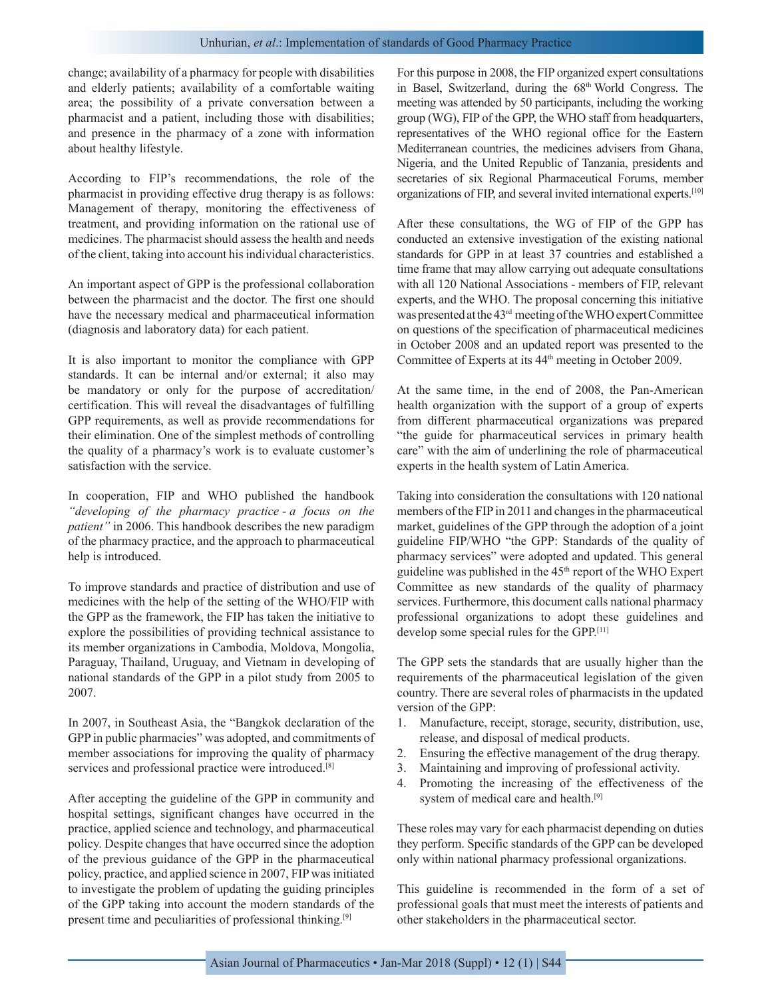change; availability of a pharmacy for people with disabilities and elderly patients; availability of a comfortable waiting area; the possibility of a private conversation between a pharmacist and a patient, including those with disabilities; and presence in the pharmacy of a zone with information about healthy lifestyle.

According to FIP's recommendations, the role of the pharmacist in providing effective drug therapy is as follows: Management of therapy, monitoring the effectiveness of treatment, and providing information on the rational use of medicines. The pharmacist should assess the health and needs of the client, taking into account his individual characteristics.

An important aspect of GPP is the professional collaboration between the pharmacist and the doctor. The first one should have the necessary medical and pharmaceutical information (diagnosis and laboratory data) for each patient.

It is also important to monitor the compliance with GPP standards. It can be internal and/or external; it also may be mandatory or only for the purpose of accreditation/ certification. This will reveal the disadvantages of fulfilling GPP requirements, as well as provide recommendations for their elimination. One of the simplest methods of controlling the quality of a pharmacy's work is to evaluate customer's satisfaction with the service.

In cooperation, FIP and WHO published the handbook *"developing of the pharmacy practice - a focus on the patient"* in 2006. This handbook describes the new paradigm of the pharmacy practice, and the approach to pharmaceutical help is introduced.

To improve standards and practice of distribution and use of medicines with the help of the setting of the WHO/FIP with the GPP as the framework, the FIP has taken the initiative to explore the possibilities of providing technical assistance to its member organizations in Cambodia, Moldova, Mongolia, Paraguay, Thailand, Uruguay, and Vietnam in developing of national standards of the GPP in a pilot study from 2005 to 2007.

In 2007, in Southeast Asia, the "Bangkok declaration of the GPP in public pharmacies" was adopted, and commitments of member associations for improving the quality of pharmacy services and professional practice were introduced.<sup>[8]</sup>

After accepting the guideline of the GPP in community and hospital settings, significant changes have occurred in the practice, applied science and technology, and pharmaceutical policy. Despite changes that have occurred since the adoption of the previous guidance of the GPP in the pharmaceutical policy, practice, and applied science in 2007, FIP was initiated to investigate the problem of updating the guiding principles of the GPP taking into account the modern standards of the present time and peculiarities of professional thinking.[9]

For this purpose in 2008, the FIP organized expert consultations in Basel, Switzerland, during the 68<sup>th</sup> World Congress. The meeting was attended by 50 participants, including the working group (WG), FIP of the GPP, the WHO staff from headquarters, representatives of the WHO regional office for the Eastern Mediterranean countries, the medicines advisers from Ghana, Nigeria, and the United Republic of Tanzania, presidents and secretaries of six Regional Pharmaceutical Forums, member organizations of FIP, and several invited international experts.[10]

After these consultations, the WG of FIP of the GPP has conducted an extensive investigation of the existing national standards for GPP in at least 37 countries and established a time frame that may allow carrying out adequate consultations with all 120 National Associations - members of FIP, relevant experts, and the WHO. The proposal concerning this initiative was presented at the 43rd meeting of the WHO expert Committee on questions of the specification of pharmaceutical medicines in October 2008 and an updated report was presented to the Committee of Experts at its 44<sup>th</sup> meeting in October 2009.

At the same time, in the end of 2008, the Pan-American health organization with the support of a group of experts from different pharmaceutical organizations was prepared "the guide for pharmaceutical services in primary health care" with the aim of underlining the role of pharmaceutical experts in the health system of Latin America.

Taking into consideration the consultations with 120 national members of the FIP in 2011 and changes in the pharmaceutical market, guidelines of the GPP through the adoption of a joint guideline FIP/WHO "the GPP: Standards of the quality of pharmacy services" were adopted and updated. This general guideline was published in the 45<sup>th</sup> report of the WHO Expert Committee as new standards of the quality of pharmacy services. Furthermore, this document calls national pharmacy professional organizations to adopt these guidelines and develop some special rules for the GPP.[11]

The GPP sets the standards that are usually higher than the requirements of the pharmaceutical legislation of the given country. There are several roles of pharmacists in the updated version of the GPP:

- 1. Manufacture, receipt, storage, security, distribution, use, release, and disposal of medical products.
- 2. Ensuring the effective management of the drug therapy.
- 3. Maintaining and improving of professional activity.
- 4. Promoting the increasing of the effectiveness of the system of medical care and health.[9]

These roles may vary for each pharmacist depending on duties they perform. Specific standards of the GPP can be developed only within national pharmacy professional organizations.

This guideline is recommended in the form of a set of professional goals that must meet the interests of patients and other stakeholders in the pharmaceutical sector.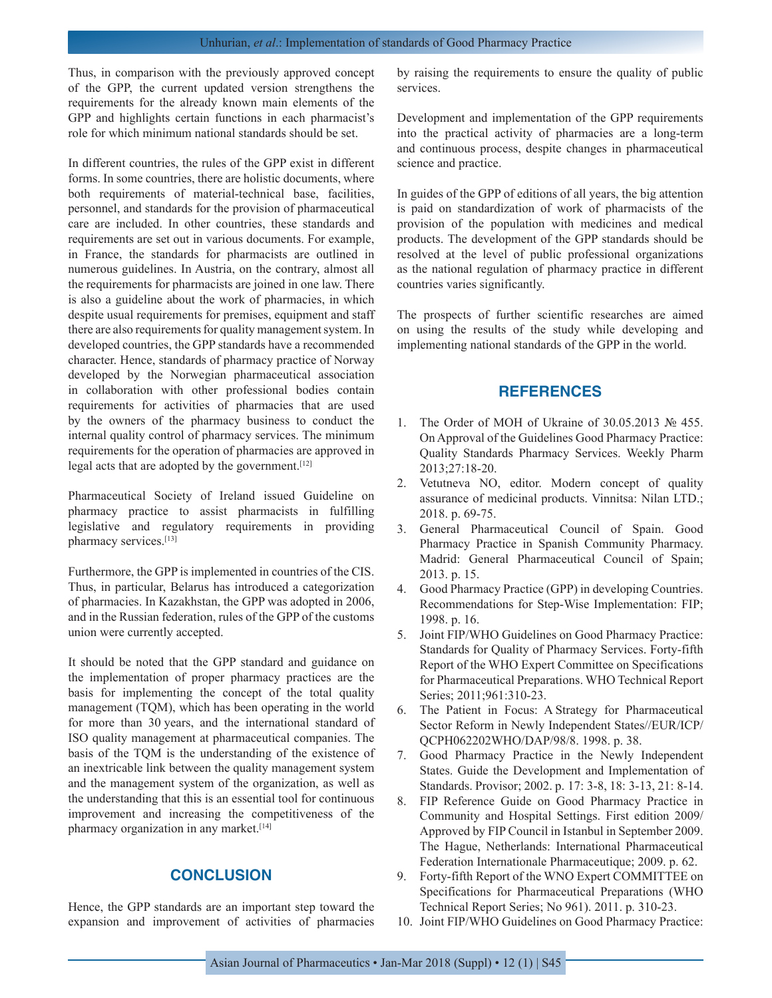Thus, in comparison with the previously approved concept of the GPP, the current updated version strengthens the requirements for the already known main elements of the GPP and highlights certain functions in each pharmacist's role for which minimum national standards should be set.

In different countries, the rules of the GPP exist in different forms. In some countries, there are holistic documents, where both requirements of material-technical base, facilities, personnel, and standards for the provision of pharmaceutical care are included. In other countries, these standards and requirements are set out in various documents. For example, in France, the standards for pharmacists are outlined in numerous guidelines. In Austria, on the contrary, almost all the requirements for pharmacists are joined in one law. There is also a guideline about the work of pharmacies, in which despite usual requirements for premises, equipment and staff there are also requirements for quality management system. In developed countries, the GPP standards have a recommended character. Hence, standards of pharmacy practice of Norway developed by the Norwegian pharmaceutical association in collaboration with other professional bodies contain requirements for activities of pharmacies that are used by the owners of the pharmacy business to conduct the internal quality control of pharmacy services. The minimum requirements for the operation of pharmacies are approved in legal acts that are adopted by the government.<sup>[12]</sup>

Pharmaceutical Society of Ireland issued Guideline on pharmacy practice to assist pharmacists in fulfilling legislative and regulatory requirements in providing pharmacy services.[13]

Furthermore, the GPP is implemented in countries of the CIS. Thus, in particular, Belarus has introduced a categorization of pharmacies. In Kazakhstan, the GPP was adopted in 2006, and in the Russian federation, rules of the GPP of the customs union were currently accepted.

It should be noted that the GPP standard and guidance on the implementation of proper pharmacy practices are the basis for implementing the concept of the total quality management (TQM), which has been operating in the world for more than 30 years, and the international standard of ISO quality management at pharmaceutical companies. The basis of the TQM is the understanding of the existence of an inextricable link between the quality management system and the management system of the organization, as well as the understanding that this is an essential tool for continuous improvement and increasing the competitiveness of the pharmacy organization in any market.[14]

## **CONCLUSION**

Hence, the GPP standards are an important step toward the expansion and improvement of activities of pharmacies by raising the requirements to ensure the quality of public services.

Development and implementation of the GPP requirements into the practical activity of pharmacies are a long-term and continuous process, despite changes in pharmaceutical science and practice.

In guides of the GPP of editions of all years, the big attention is paid on standardization of work of pharmacists of the provision of the population with medicines and medical products. The development of the GPP standards should be resolved at the level of public professional organizations as the national regulation of pharmacy practice in different countries varies significantly.

The prospects of further scientific researches are aimed on using the results of the study while developing and implementing national standards of the GPP in the world.

## **REFERENCES**

- 1. The Order of MOH of Ukraine of 30.05.2013 № 455. On Approval of the Guidelines Good Pharmacy Practice: Quality Standards Pharmacy Services. Weekly Pharm 2013;27:18-20.
- 2. Vetutneva NO, editor. Modern concept of quality assurance of medicinal products. Vinnitsa: Nilan LTD.; 2018. p. 69-75.
- 3. General Pharmaceutical Council of Spain. Good Pharmacy Practice in Spanish Community Pharmacy. Madrid: General Pharmaceutical Council of Spain; 2013. p. 15.
- 4. Good Pharmacy Practice (GPP) in developing Countries. Recommendations for Step-Wise Implementation: FIP; 1998. p. 16.
- 5. Joint FIP/WHO Guidelines on Good Pharmacy Practice: Standards for Quality of Pharmacy Services. Forty-fifth Report of the WHO Expert Committee on Specifications for Pharmaceutical Preparations. WHO Technical Report Series; 2011;961:310-23.
- 6. The Patient in Focus: A Strategy for Pharmaceutical Sector Reform in Newly Independent States//EUR/ICP/ QCPH062202WHO/DAP/98/8. 1998. p. 38.
- 7. Good Pharmacy Practice in the Newly Independent States. Guide the Development and Implementation of Standards. Provisor; 2002. p. 17: 3-8, 18: 3-13, 21: 8-14.
- 8. FIP Reference Guide on Good Pharmacy Practice in Community and Hospital Settings. First edition 2009/ Approved by FIP Council in Istanbul in September 2009. The Hague, Netherlands: International Pharmaceutical Federation Internationale Pharmaceutique; 2009. p. 62.
- 9. Forty-fifth Report of the WNO Expert COMMITTEE on Specifications for Pharmaceutical Preparations (WHO Technical Report Series; No 961). 2011. p. 310-23.
- 10. Joint FIP/WHO Guidelines on Good Pharmacy Practice: